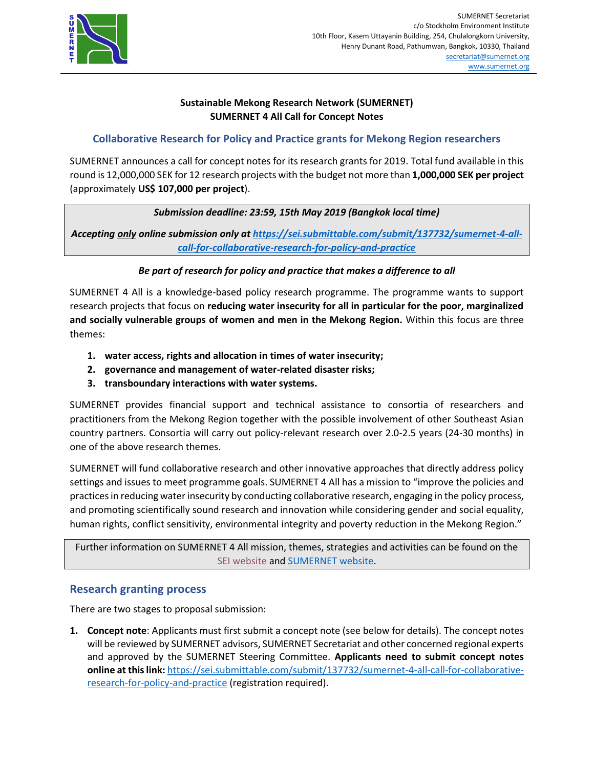

# **Sustainable Mekong Research Network (SUMERNET) SUMERNET 4 All Call for Concept Notes**

# **Collaborative Research for Policy and Practice grants for Mekong Region researchers**

SUMERNET announces a call for concept notes for its research grants for 2019. Total fund available in this round is 12,000,000 SEK for 12 research projects with the budget not more than **1,000,000 SEK per project** (approximately **US\$ 107,000 per project**).

# *Submission deadline: 23:59, 15th May 2019 (Bangkok local time)*

*Accepting only online submission only at [https://sei.submittable.com/submit/137732/sumernet-4-all](https://sei.submittable.com/submit/137732/sumernet-4-all-call-for-collaborative-research-for-policy-and-practice)[call-for-collaborative-research-for-policy-and-practice](https://sei.submittable.com/submit/137732/sumernet-4-all-call-for-collaborative-research-for-policy-and-practice)*

# *Be part of research for policy and practice that makes a difference to all*

SUMERNET 4 All is a knowledge-based policy research programme. The programme wants to support research projects that focus on **reducing water insecurity for all in particular for the poor, marginalized and socially vulnerable groups of women and men in the Mekong Region.** Within this focus are three themes:

- **1. water access, rights and allocation in times of water insecurity;**
- **2. governance and management of water-related disaster risks;**
- **3. transboundary interactions with water systems.**

SUMERNET provides financial support and technical assistance to consortia of researchers and practitioners from the Mekong Region together with the possible involvement of other Southeast Asian country partners. Consortia will carry out policy-relevant research over 2.0-2.5 years (24-30 months) in one of the above research themes.

SUMERNET will fund collaborative research and other innovative approaches that directly address policy settings and issues to meet programme goals. SUMERNET 4 All has a mission to "improve the policies and practices in reducing water insecurity by conducting collaborative research, engaging in the policy process, and promoting scientifically sound research and innovation while considering gender and social equality, human rights, conflict sensitivity, environmental integrity and poverty reduction in the Mekong Region."

Further information on SUMERNET 4 All mission, themes, strategies and activities can be found on the [SEI website](https://www.sei.org/projects-and-tools/projects/sumernet-4-all-engaging-with-water-insecurity-in-the-mekong-region) and [SUMERNET website.](http://www.sumernet.org/)

# **Research granting process**

There are two stages to proposal submission:

**1. Concept note**: Applicants must first submit a concept note (see below for details). The concept notes will be reviewed by SUMERNET advisors, SUMERNET Secretariat and other concerned regional experts and approved by the SUMERNET Steering Committee. **Applicants need to submit concept notes online at this link:** [https://sei.submittable.com/submit/137732/sumernet-4-all-call-for-collaborative](https://sei.submittable.com/submit/137732/sumernet-4-all-call-for-collaborative-research-for-policy-and-practice)[research-for-policy-and-practice](https://sei.submittable.com/submit/137732/sumernet-4-all-call-for-collaborative-research-for-policy-and-practice) (registration required).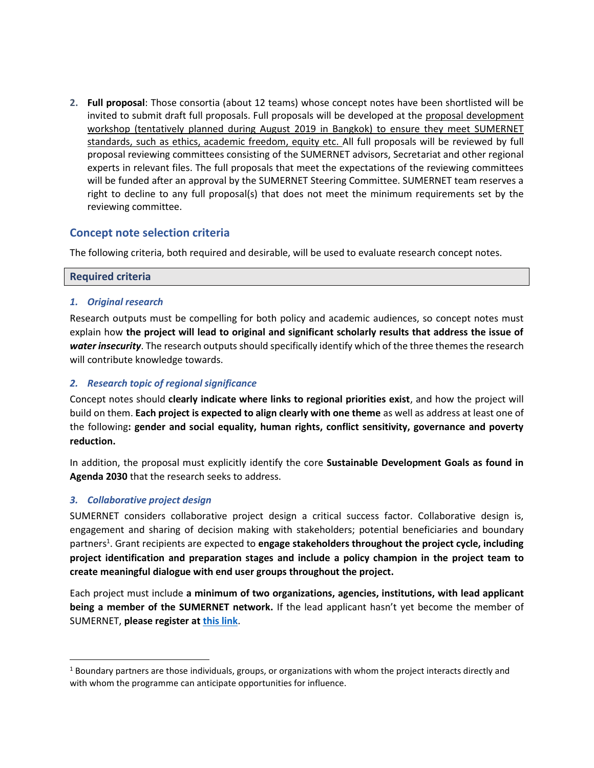**2. Full proposal**: Those consortia (about 12 teams) whose concept notes have been shortlisted will be invited to submit draft full proposals. Full proposals will be developed at the proposal development workshop (tentatively planned during August 2019 in Bangkok) to ensure they meet SUMERNET standards, such as ethics, academic freedom, equity etc. All full proposals will be reviewed by full proposal reviewing committees consisting of the SUMERNET advisors, Secretariat and other regional experts in relevant files. The full proposals that meet the expectations of the reviewing committees will be funded after an approval by the SUMERNET Steering Committee. SUMERNET team reserves a right to decline to any full proposal(s) that does not meet the minimum requirements set by the reviewing committee.

# **Concept note selection criteria**

The following criteria, both required and desirable, will be used to evaluate research concept notes.

### **Required criteria**

#### *1. Original research*

Research outputs must be compelling for both policy and academic audiences, so concept notes must explain how **the project will lead to original and significant scholarly results that address the issue of**  *water insecurity*. The research outputs should specifically identify which of the three themes the research will contribute knowledge towards.

#### *2. Research topic of regional significance*

Concept notes should **clearly indicate where links to regional priorities exist**, and how the project will build on them. **Each project is expected to align clearly with one theme** as well as address at least one of the following**: gender and social equality, human rights, conflict sensitivity, governance and poverty reduction.**

In addition, the proposal must explicitly identify the core **Sustainable Development Goals as found in Agenda 2030** that the research seeks to address.

### *3. Collaborative project design*

 $\overline{\phantom{a}}$ 

SUMERNET considers collaborative project design a critical success factor. Collaborative design is, engagement and sharing of decision making with stakeholders; potential beneficiaries and boundary partners<sup>1</sup>. Grant recipients are expected to **engage stakeholders throughout the project cycle, including project identification and preparation stages and include a policy champion in the project team to create meaningful dialogue with end user groups throughout the project.**

Each project must include **a minimum of two organizations, agencies, institutions, with lead applicant being a member of the SUMERNET network.** If the lead applicant hasn't yet become the member of SUMERNET, **please register at [this link](https://forms.office.com/Pages/ResponsePage.aspx?id=XRL-PYmlr0SfxxE_O_9Yc3ERKSxxSRVCnsi1dBkPLEdUN0s3ODVZMU9VS0REMTcyQVlOMjYwMjZQRS4u)**.

 $1$  Boundary partners are those individuals, groups, or organizations with whom the project interacts directly and with whom the programme can anticipate opportunities for influence.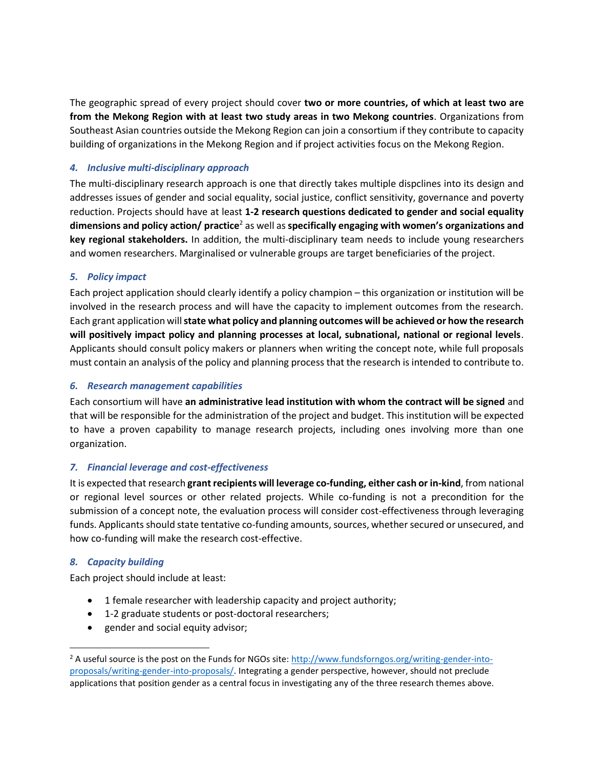The geographic spread of every project should cover **two or more countries, of which at least two are from the Mekong Region with at least two study areas in two Mekong countries**. Organizations from Southeast Asian countries outside the Mekong Region can join a consortium if they contribute to capacity building of organizations in the Mekong Region and if project activities focus on the Mekong Region.

## *4. Inclusive multi-disciplinary approach*

The multi-disciplinary research approach is one that directly takes multiple dispclines into its design and addresses issues of gender and social equality, social justice, conflict sensitivity, governance and poverty reduction. Projects should have at least **1-2 research questions dedicated to gender and social equality dimensions and policy action/ practice**<sup>2</sup> as well as **specifically engaging with women's organizations and key regional stakeholders.** In addition, the multi-disciplinary team needs to include young researchers and women researchers. Marginalised or vulnerable groups are target beneficiaries of the project.

### *5. Policy impact*

Each project application should clearly identify a policy champion – this organization or institution will be involved in the research process and will have the capacity to implement outcomes from the research. Each grant application will **state what policy and planning outcomes will be achieved or how the research will positively impact policy and planning processes at local, subnational, national or regional levels**. Applicants should consult policy makers or planners when writing the concept note, while full proposals must contain an analysis of the policy and planning process that the research is intended to contribute to.

#### *6. Research management capabilities*

Each consortium will have **an administrative lead institution with whom the contract will be signed** and that will be responsible for the administration of the project and budget. This institution will be expected to have a proven capability to manage research projects, including ones involving more than one organization.

### *7. Financial leverage and cost-effectiveness*

It is expected that research **grant recipients will leverage co-funding, either cash or in-kind**, from national or regional level sources or other related projects. While co-funding is not a precondition for the submission of a concept note, the evaluation process will consider cost-effectiveness through leveraging funds. Applicants should state tentative co-funding amounts, sources, whether secured or unsecured, and how co-funding will make the research cost-effective.

### *8. Capacity building*

 $\overline{a}$ 

Each project should include at least:

- 1 female researcher with leadership capacity and project authority;
- 1-2 graduate students or post-doctoral researchers;
- gender and social equity advisor;

<sup>&</sup>lt;sup>2</sup> A useful source is the post on the Funds for NGOs site[: http://www.fundsforngos.org/writing-gender-into](http://www.fundsforngos.org/writing-gender-into-proposals/writing-gender-into-proposals/)[proposals/writing-gender-into-proposals/.](http://www.fundsforngos.org/writing-gender-into-proposals/writing-gender-into-proposals/) Integrating a gender perspective, however, should not preclude applications that position gender as a central focus in investigating any of the three research themes above.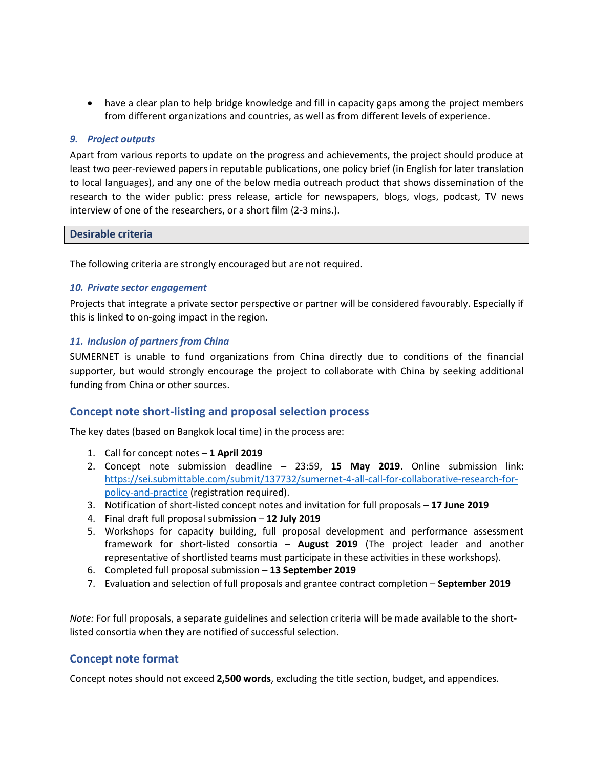• have a clear plan to help bridge knowledge and fill in capacity gaps among the project members from different organizations and countries, as well as from different levels of experience.

#### *9. Project outputs*

Apart from various reports to update on the progress and achievements, the project should produce at least two peer-reviewed papers in reputable publications, one policy brief (in English for later translation to local languages), and any one of the below media outreach product that shows dissemination of the research to the wider public: press release, article for newspapers, blogs, vlogs, podcast, TV news interview of one of the researchers, or a short film (2-3 mins.).

#### **Desirable criteria**

The following criteria are strongly encouraged but are not required.

#### *10. Private sector engagement*

Projects that integrate a private sector perspective or partner will be considered favourably. Especially if this is linked to on-going impact in the region.

#### *11. Inclusion of partners from China*

SUMERNET is unable to fund organizations from China directly due to conditions of the financial supporter, but would strongly encourage the project to collaborate with China by seeking additional funding from China or other sources.

## **Concept note short-listing and proposal selection process**

The key dates (based on Bangkok local time) in the process are:

- 1. Call for concept notes **1 April 2019**
- 2. Concept note submission deadline 23:59, **15 May 2019**. Online submission link: [https://sei.submittable.com/submit/137732/sumernet-4-all-call-for-collaborative-research-for](https://sei.submittable.com/submit/137732/sumernet-4-all-call-for-collaborative-research-for-policy-and-practice)[policy-and-practice](https://sei.submittable.com/submit/137732/sumernet-4-all-call-for-collaborative-research-for-policy-and-practice) (registration required).
- 3. Notification of short-listed concept notes and invitation for full proposals **17 June 2019**
- 4. Final draft full proposal submission **12 July 2019**
- 5. Workshops for capacity building, full proposal development and performance assessment framework for short-listed consortia – **August 2019** (The project leader and another representative of shortlisted teams must participate in these activities in these workshops).
- 6. Completed full proposal submission **13 September 2019**
- 7. Evaluation and selection of full proposals and grantee contract completion **September 2019**

*Note:* For full proposals, a separate guidelines and selection criteria will be made available to the shortlisted consortia when they are notified of successful selection.

### **Concept note format**

Concept notes should not exceed **2,500 words**, excluding the title section, budget, and appendices.